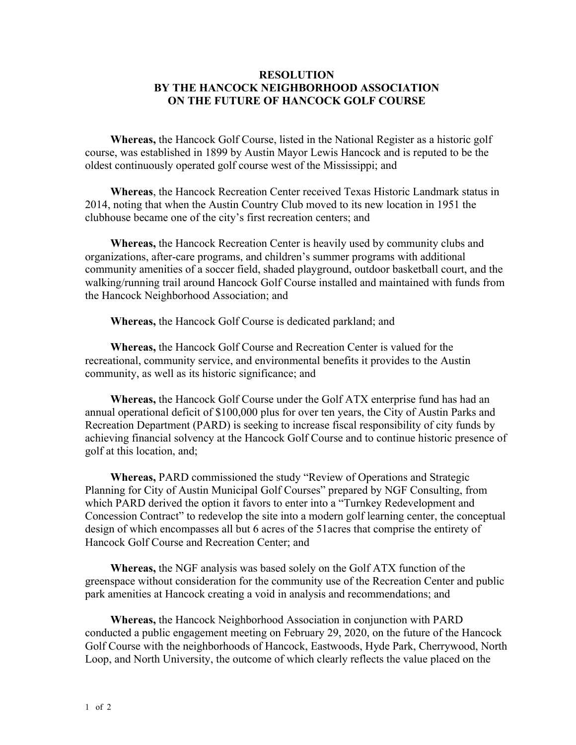## **RESOLUTION BY THE HANCOCK NEIGHBORHOOD ASSOCIATION ON THE FUTURE OF HANCOCK GOLF COURSE**

**Whereas,** the Hancock Golf Course, listed in the National Register as a historic golf course, was established in 1899 by Austin Mayor Lewis Hancock and is reputed to be the oldest continuously operated golf course west of the Mississippi; and

**Whereas**, the Hancock Recreation Center received Texas Historic Landmark status in 2014, noting that when the Austin Country Club moved to its new location in 1951 the clubhouse became one of the city's first recreation centers; and

**Whereas,** the Hancock Recreation Center is heavily used by community clubs and organizations, after-care programs, and children's summer programs with additional community amenities of a soccer field, shaded playground, outdoor basketball court, and the walking/running trail around Hancock Golf Course installed and maintained with funds from the Hancock Neighborhood Association; and

**Whereas,** the Hancock Golf Course is dedicated parkland; and

**Whereas,** the Hancock Golf Course and Recreation Center is valued for the recreational, community service, and environmental benefits it provides to the Austin community, as well as its historic significance; and

**Whereas,** the Hancock Golf Course under the Golf ATX enterprise fund has had an annual operational deficit of \$100,000 plus for over ten years, the City of Austin Parks and Recreation Department (PARD) is seeking to increase fiscal responsibility of city funds by achieving financial solvency at the Hancock Golf Course and to continue historic presence of golf at this location, and;

**Whereas,** PARD commissioned the study "Review of Operations and Strategic Planning for City of Austin Municipal Golf Courses" prepared by NGF Consulting, from which PARD derived the option it favors to enter into a "Turnkey Redevelopment and Concession Contract" to redevelop the site into a modern golf learning center, the conceptual design of which encompasses all but 6 acres of the 51acres that comprise the entirety of Hancock Golf Course and Recreation Center; and

**Whereas,** the NGF analysis was based solely on the Golf ATX function of the greenspace without consideration for the community use of the Recreation Center and public park amenities at Hancock creating a void in analysis and recommendations; and

**Whereas,** the Hancock Neighborhood Association in conjunction with PARD conducted a public engagement meeting on February 29, 2020, on the future of the Hancock Golf Course with the neighborhoods of Hancock, Eastwoods, Hyde Park, Cherrywood, North Loop, and North University, the outcome of which clearly reflects the value placed on the